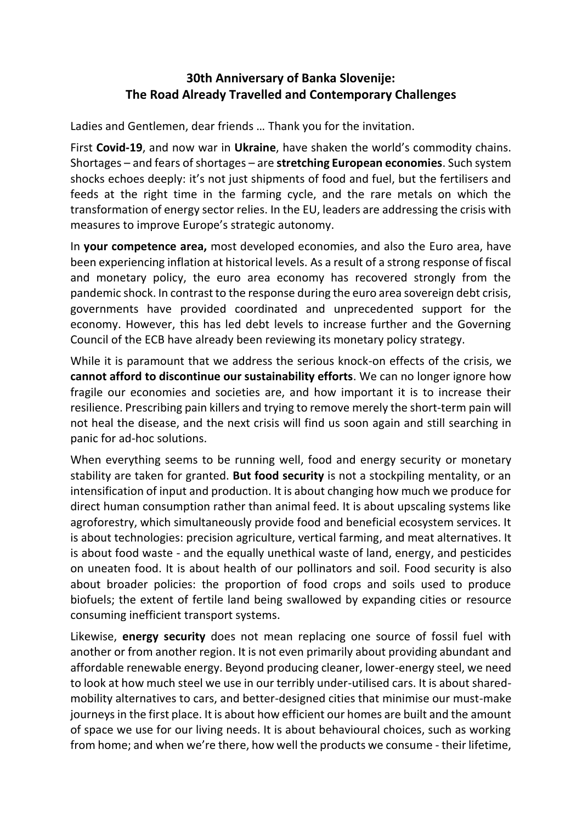## **30th Anniversary of Banka Slovenije: The Road Already Travelled and Contemporary Challenges**

Ladies and Gentlemen, dear friends … Thank you for the invitation.

First **Covid-19**, and now war in **Ukraine**, have shaken the world's commodity chains. Shortages – and fears of shortages – are **stretching European economies**. Such system shocks echoes deeply: it's not just shipments of food and fuel, but the fertilisers and feeds at the right time in the farming cycle, and the rare metals on which the transformation of energy sector relies. In the EU, leaders are addressing the crisis with measures to improve Europe's strategic autonomy.

In **your competence area,** most developed economies, and also the Euro area, have been experiencing inflation at historical levels. As a result of a strong response of fiscal and monetary policy, the euro area economy has recovered strongly from the pandemic shock. In contrast to the response during the euro area sovereign debt crisis, governments have provided coordinated and unprecedented support for the economy. However, this has led debt levels to increase further and the Governing Council of the ECB have already been reviewing its monetary policy strategy.

While it is paramount that we address the serious knock-on effects of the crisis, we **cannot afford to discontinue our sustainability efforts**. We can no longer ignore how fragile our economies and societies are, and how important it is to increase their resilience. Prescribing pain killers and trying to remove merely the short-term pain will not heal the disease, and the next crisis will find us soon again and still searching in panic for ad-hoc solutions.

When everything seems to be running well, food and energy security or monetary stability are taken for granted. **But food security** is not a stockpiling mentality, or an intensification of input and production. It is about changing how much we produce for direct human consumption rather than animal feed. It is about upscaling systems like agroforestry, which simultaneously provide food and beneficial ecosystem services. It is about technologies: precision agriculture, vertical farming, and meat alternatives. It is about food waste - and the equally unethical waste of land, energy, and pesticides on uneaten food. It is about health of our pollinators and soil. Food security is also about broader policies: the proportion of food crops and soils used to produce biofuels; the extent of fertile land being swallowed by expanding cities or resource consuming inefficient transport systems.

Likewise, **energy security** does not mean replacing one source of fossil fuel with another or from another region. It is not even primarily about providing abundant and affordable renewable energy. Beyond producing cleaner, lower-energy steel, we need to look at how much steel we use in our terribly under-utilised cars. It is about sharedmobility alternatives to cars, and better-designed cities that minimise our must-make journeys in the first place. It is about how efficient our homes are built and the amount of space we use for our living needs. It is about behavioural choices, such as working from home; and when we're there, how well the products we consume - their lifetime,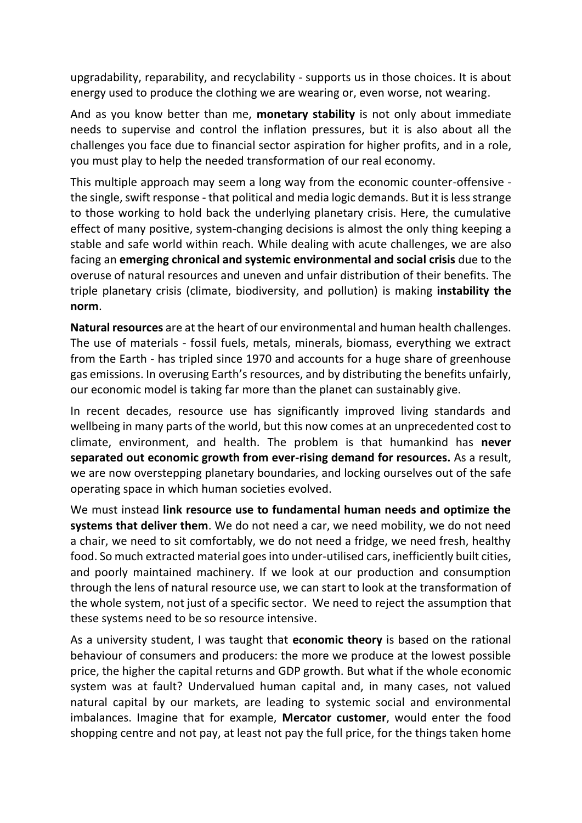upgradability, reparability, and recyclability - supports us in those choices. It is about energy used to produce the clothing we are wearing or, even worse, not wearing.

And as you know better than me, **monetary stability** is not only about immediate needs to supervise and control the inflation pressures, but it is also about all the challenges you face due to financial sector aspiration for higher profits, and in a role, you must play to help the needed transformation of our real economy.

This multiple approach may seem a long way from the economic counter-offensive the single, swift response - that political and media logic demands. But it is less strange to those working to hold back the underlying planetary crisis. Here, the cumulative effect of many positive, system-changing decisions is almost the only thing keeping a stable and safe world within reach. While dealing with acute challenges, we are also facing an **emerging chronical and systemic environmental and social crisis** due to the overuse of natural resources and uneven and unfair distribution of their benefits. The triple planetary crisis (climate, biodiversity, and pollution) is making **instability the norm**.

**Natural resources** are at the heart of our environmental and human health challenges. The use of materials - fossil fuels, metals, minerals, biomass, everything we extract from the Earth - has tripled since 1970 and accounts for a huge share of greenhouse gas emissions. In overusing Earth's resources, and by distributing the benefits unfairly, our economic model is taking far more than the planet can sustainably give.

In recent decades, resource use has significantly improved living standards and wellbeing in many parts of the world, but this now comes at an unprecedented cost to climate, environment, and health. The problem is that humankind has **never separated out economic growth from ever-rising demand for resources.** As a result, we are now overstepping planetary boundaries, and locking ourselves out of the safe operating space in which human societies evolved.

We must instead **link resource use to fundamental human needs and optimize the systems that deliver them**. We do not need a car, we need mobility, we do not need a chair, we need to sit comfortably, we do not need a fridge, we need fresh, healthy food. So much extracted material goes into under-utilised cars, inefficiently built cities, and poorly maintained machinery. If we look at our production and consumption through the lens of natural resource use, we can start to look at the transformation of the whole system, not just of a specific sector. We need to reject the assumption that these systems need to be so resource intensive.

As a university student, I was taught that **economic theory** is based on the rational behaviour of consumers and producers: the more we produce at the lowest possible price, the higher the capital returns and GDP growth. But what if the whole economic system was at fault? Undervalued human capital and, in many cases, not valued natural capital by our markets, are leading to systemic social and environmental imbalances. Imagine that for example, **Mercator customer**, would enter the food shopping centre and not pay, at least not pay the full price, for the things taken home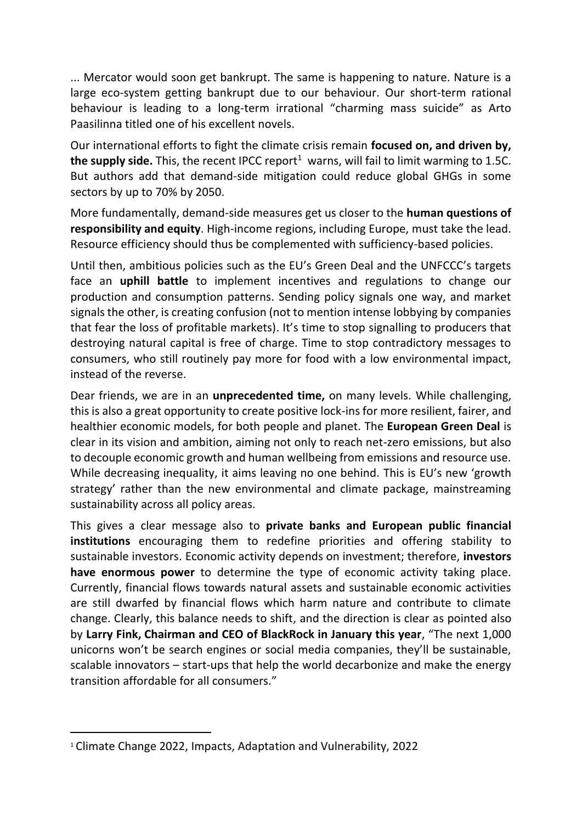... Mercator would soon get bankrupt. The same is happening to nature. Nature is a large eco-system getting bankrupt due to our behaviour. Our short-term rational behaviour is leading to a long-term irrational "charming mass suicide" as Arto Paasilinna titled one of his excellent novels.

Our international efforts to fight the climate crisis remain **focused on, and driven by, the supply side.** This, the recent IPCC report<sup>1</sup> warns, will fail to limit warming to 1.5C. But authors add that demand-side mitigation could reduce global GHGs in some sectors by up to 70% by 2050.

More fundamentally, demand-side measures get us closer to the **human questions of responsibility and equity**. High-income regions, including Europe, must take the lead. Resource efficiency should thus be complemented with sufficiency-based policies.

Until then, ambitious policies such as the EU's Green Deal and the UNFCCC's targets face an **uphill battle** to implement incentives and regulations to change our production and consumption patterns. Sending policy signals one way, and market signals the other, is creating confusion (not to mention intense lobbying by companies that fear the loss of profitable markets). It's time to stop signalling to producers that destroying natural capital is free of charge. Time to stop contradictory messages to consumers, who still routinely pay more for food with a low environmental impact, instead of the reverse.

Dear friends, we are in an **unprecedented time,** on many levels. While challenging, this is also a great opportunity to create positive lock-ins for more resilient, fairer, and healthier economic models, for both people and planet. The **European Green Deal** is clear in its vision and ambition, aiming not only to reach net-zero emissions, but also to decouple economic growth and human wellbeing from emissions and resource use. While decreasing inequality, it aims leaving no one behind. This is EU's new 'growth strategy' rather than the new environmental and climate package, mainstreaming sustainability across all policy areas.

This gives a clear message also to **private banks and European public financial institutions** encouraging them to redefine priorities and offering stability to sustainable investors. Economic activity depends on investment; therefore, **investors have enormous power** to determine the type of economic activity taking place. Currently, financial flows towards natural assets and sustainable economic activities are still dwarfed by financial flows which harm nature and contribute to climate change. Clearly, this balance needs to shift, and the direction is clear as pointed also by **Larry Fink, Chairman and CEO of BlackRock in January this year**, "The next 1,000 unicorns won't be search engines or social media companies, they'll be sustainable, scalable innovators – start-ups that help the world decarbonize and make the energy transition affordable for all consumers."

<u>.</u>

<sup>1</sup> Climate Change 2022, Impacts, Adaptation and Vulnerability, 2022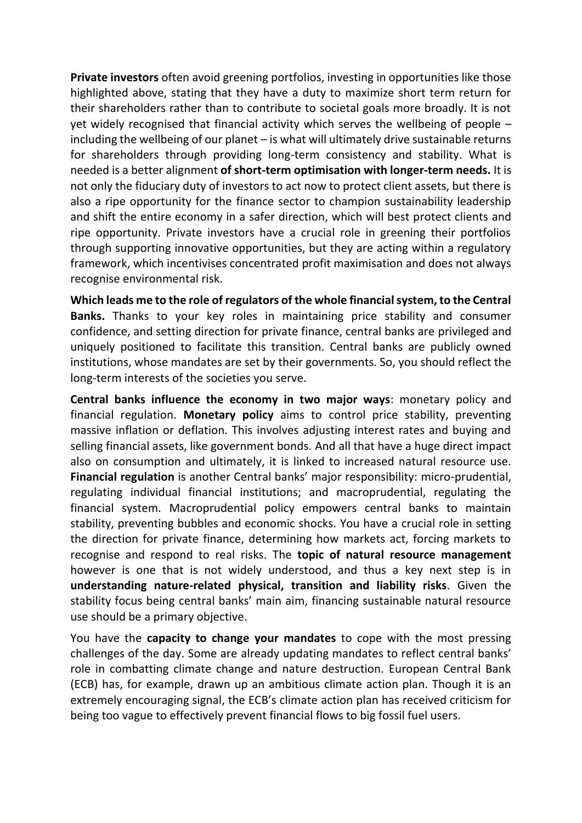**Private investors** often avoid greening portfolios, investing in opportunities like those highlighted above, stating that they have a duty to maximize short term return for their shareholders rather than to contribute to societal goals more broadly. It is not yet widely recognised that financial activity which serves the wellbeing of people – including the wellbeing of our planet – is what will ultimately drive sustainable returns for shareholders through providing long-term consistency and stability. What is needed is a better alignment **of short-term optimisation with longer-term needs.** It is not only the fiduciary duty of investors to act now to protect client assets, but there is also a ripe opportunity for the finance sector to champion sustainability leadership and shift the entire economy in a safer direction, which will best protect clients and ripe opportunity. Private investors have a crucial role in greening their portfolios through supporting innovative opportunities, but they are acting within a regulatory framework, which incentivises concentrated profit maximisation and does not always recognise environmental risk.

**Which leads me to the role of regulators of the whole financial system, to the Central Banks.** Thanks to your key roles in maintaining price stability and consumer confidence, and setting direction for private finance, central banks are privileged and uniquely positioned to facilitate this transition. Central banks are publicly owned institutions, whose mandates are set by their governments. So, you should reflect the long-term interests of the societies you serve.

**Central banks influence the economy in two major ways**: monetary policy and financial regulation. **Monetary policy** aims to control price stability, preventing massive inflation or deflation. This involves adjusting interest rates and buying and selling financial assets, like government bonds. And all that have a huge direct impact also on consumption and ultimately, it is linked to increased natural resource use. **Financial regulation** is another Central banks' major responsibility: micro-prudential, regulating individual financial institutions; and macroprudential, regulating the financial system. Macroprudential policy empowers central banks to maintain stability, preventing bubbles and economic shocks. You have a crucial role in setting the direction for private finance, determining how markets act, forcing markets to recognise and respond to real risks. The **topic of natural resource management** however is one that is not widely understood, and thus a key next step is in **understanding nature-related physical, transition and liability risks**. Given the stability focus being central banks' main aim, financing sustainable natural resource use should be a primary objective.

You have the **capacity to change your mandates** to cope with the most pressing challenges of the day. Some are already updating mandates to reflect central banks' role in combatting climate change and nature destruction. European Central Bank (ECB) has, for example, drawn up an ambitious climate action plan. Though it is an extremely encouraging signal, the ECB's climate action plan has received criticism for being too vague to effectively prevent financial flows to big fossil fuel users.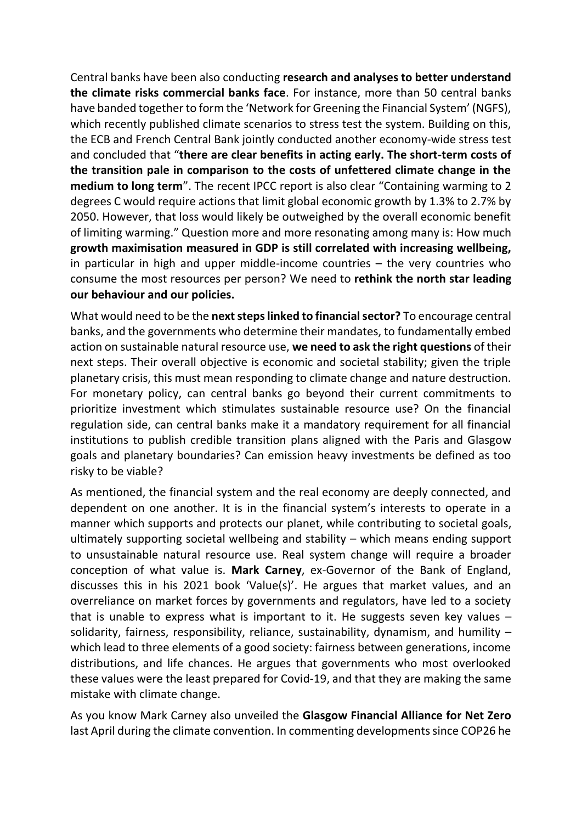Central banks have been also conducting **research and analyses to better understand the climate risks commercial banks face**. For instance, more than 50 central banks have banded together to form the 'Network for Greening the Financial System' (NGFS), which recently published climate scenarios to stress test the system. Building on this, the ECB and French Central Bank jointly conducted another economy-wide stress test and concluded that "**there are clear benefits in acting early. The short-term costs of the transition pale in comparison to the costs of unfettered climate change in the medium to long term**". The recent IPCC report is also clear "Containing warming to 2 degrees C would require actions that limit global economic growth by 1.3% to 2.7% by 2050. However, that loss would likely be outweighed by the overall economic benefit of limiting warming." Question more and more resonating among many is: How much **growth maximisation measured in GDP is still correlated with increasing wellbeing,** in particular in high and upper middle-income countries – the very countries who consume the most resources per person? We need to **rethink the north star leading our behaviour and our policies.**

What would need to be the **next steps linked to financial sector?** To encourage central banks, and the governments who determine their mandates, to fundamentally embed action on sustainable natural resource use, **we need to ask the right questions** of their next steps. Their overall objective is economic and societal stability; given the triple planetary crisis, this must mean responding to climate change and nature destruction. For monetary policy, can central banks go beyond their current commitments to prioritize investment which stimulates sustainable resource use? On the financial regulation side, can central banks make it a mandatory requirement for all financial institutions to publish credible transition plans aligned with the Paris and Glasgow goals and planetary boundaries? Can emission heavy investments be defined as too risky to be viable?

As mentioned, the financial system and the real economy are deeply connected, and dependent on one another. It is in the financial system's interests to operate in a manner which supports and protects our planet, while contributing to societal goals, ultimately supporting societal wellbeing and stability – which means ending support to unsustainable natural resource use. Real system change will require a broader conception of what value is. **Mark Carney**, ex-Governor of the Bank of England, discusses this in his 2021 book 'Value(s)'. He argues that market values, and an overreliance on market forces by governments and regulators, have led to a society that is unable to express what is important to it. He suggests seven key values – solidarity, fairness, responsibility, reliance, sustainability, dynamism, and humility – which lead to three elements of a good society: fairness between generations, income distributions, and life chances. He argues that governments who most overlooked these values were the least prepared for Covid-19, and that they are making the same mistake with climate change.

As you know Mark Carney also unveiled the **Glasgow Financial Alliance for Net Zero**  last April during the climate convention. In commenting developments since COP26 he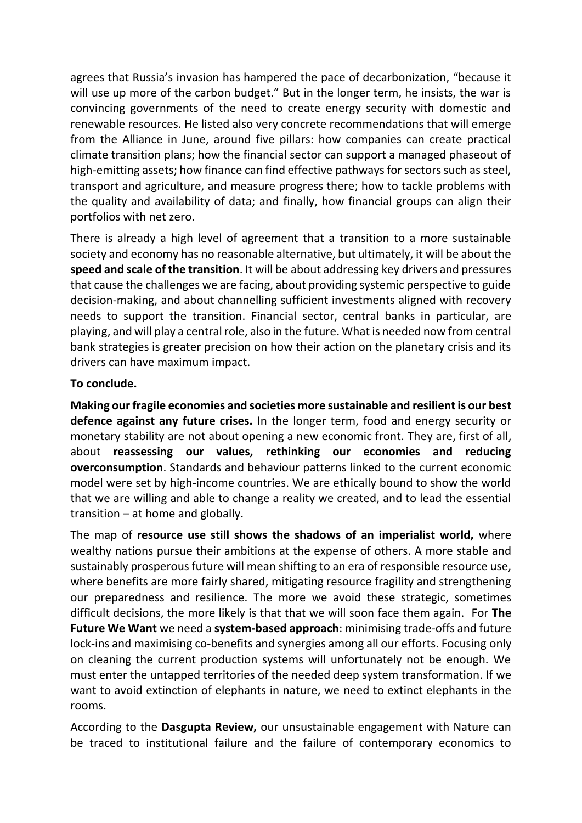agrees that Russia's invasion has hampered the pace of decarbonization, "because it will use up more of the carbon budget." But in the longer term, he insists, the war is convincing governments of the need to create energy security with domestic and renewable resources. He listed also very concrete recommendations that will emerge from the Alliance in June, around five pillars: how companies can create practical climate transition plans; how the financial sector can support a managed phaseout of high-emitting assets; how finance can find effective pathways for sectors such as steel, transport and agriculture, and measure progress there; how to tackle problems with the quality and availability of data; and finally, how financial groups can align their portfolios with net zero.

There is already a high level of agreement that a transition to a more sustainable society and economy has no reasonable alternative, but ultimately, it will be about the **speed and scale of the transition**. It will be about addressing key drivers and pressures that cause the challenges we are facing, about providing systemic perspective to guide decision-making, and about channelling sufficient investments aligned with recovery needs to support the transition. Financial sector, central banks in particular, are playing, and will play a central role, also in the future. What is needed now from central bank strategies is greater precision on how their action on the planetary crisis and its drivers can have maximum impact.

## **To conclude.**

**Making our fragile economies and societies more sustainable and resilient is our best defence against any future crises.** In the longer term, food and energy security or monetary stability are not about opening a new economic front. They are, first of all, about **reassessing our values, rethinking our economies and reducing overconsumption**. Standards and behaviour patterns linked to the current economic model were set by high-income countries. We are ethically bound to show the world that we are willing and able to change a reality we created, and to lead the essential transition – at home and globally.

The map of **resource use still shows the shadows of an imperialist world,** where wealthy nations pursue their ambitions at the expense of others. A more stable and sustainably prosperous future will mean shifting to an era of responsible resource use, where benefits are more fairly shared, mitigating resource fragility and strengthening our preparedness and resilience. The more we avoid these strategic, sometimes difficult decisions, the more likely is that that we will soon face them again. For **The Future We Want** we need a **system-based approach**: minimising trade-offs and future lock-ins and maximising co-benefits and synergies among all our efforts. Focusing only on cleaning the current production systems will unfortunately not be enough. We must enter the untapped territories of the needed deep system transformation. If we want to avoid extinction of elephants in nature, we need to extinct elephants in the rooms.

According to the **Dasgupta Review,** our unsustainable engagement with Nature can be traced to institutional failure and the failure of contemporary economics to